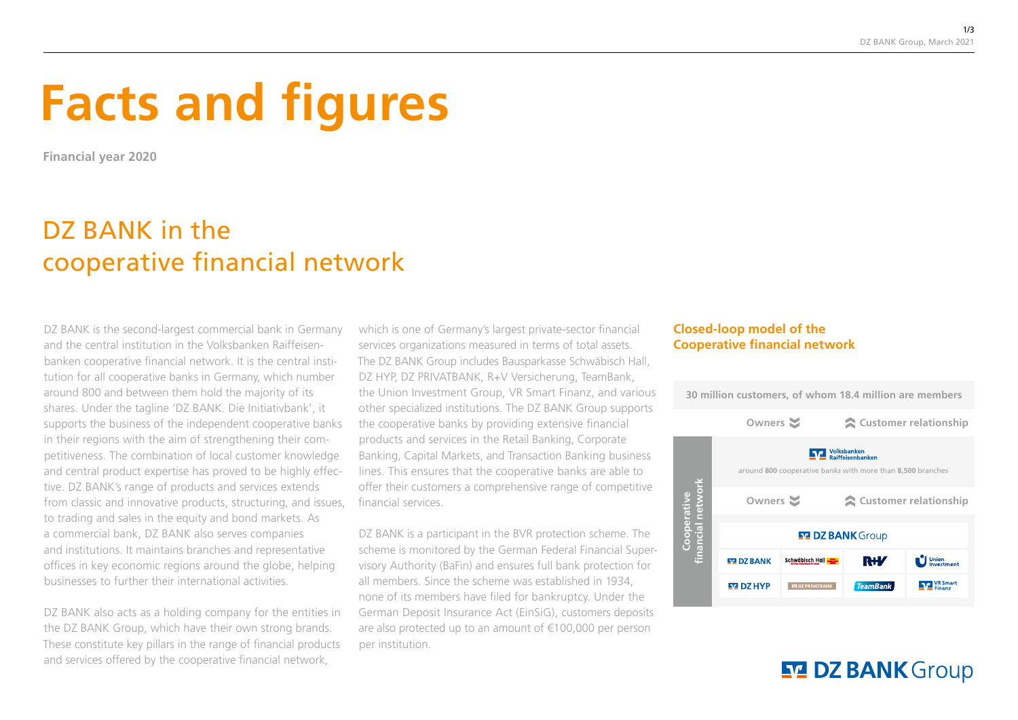# **Facts and figures**

**Financial year 2020**

## DZ BANK in the cooperative financial network

DZ BANK is the second-largest commercial bank in Germany and the central institution in the Volksbanken Raiffeisenbanken cooperative financial network. It is the central institution for all cooperative banks in Germany, which number around 800 and between them hold the majority of its shares. Under the tagline 'DZ BANK. Die Initiativbank', it supports the business of the independent cooperative banks in their regions with the aim of strengthening their competitiveness. The combination of local customer knowledge and central product expertise has proved to be highly effective. DZ BANK's range of products and services extends from classic and innovative products, structuring, and issues, to trading and sales in the equity and bond markets. As a commercial bank, DZ BANK also serves companies and institutions. It maintains branches and representative offices in key economic regions around the globe, helping businesses to further their international activities.

DZ BANK also acts as a holding company for the entities in the DZ BANK Group, which have their own strong brands. These constitute key pillars in the range of financial products and services offered by the cooperative financial network,

which is one of Germany's largest private-sector financial services organizations measured in terms of total assets. The DZ BANK Group includes Bausparkasse Schwäbisch Hall, DZ HYP, DZ PRIVATBANK, R+V Versicherung, TeamBank, the Union Investment Group, VR Smart Finanz, and various other specialized institutions. The DZ BANK Group supports the cooperative banks by providing extensive financial products and services in the Retail Banking, Corporate Banking, Capital Markets, and Transaction Banking business lines. This ensures that the cooperative banks are able to offer their customers a comprehensive range of competitive financial services.

DZ BANK is a participant in the BVR protection scheme. The scheme is monitored by the German Federal Financial Supervisory Authority (BaFin) and ensures full bank protection for all members. Since the scheme was established in 1934, none of its members have filed for bankruptcy. Under the German Deposit Insurance Act (EinSiG), customers deposits are also protected up to an amount of €100,000 per person per institution.

### **Closed-loop model of the Cooperative financial network**

**30 million customers, of whom 18.4 million are members Owners Customer relationship NO** Volksbanken around **800** cooperative banks with more than **8,500** branches **Cooperative financial network Owners Customer relationship ET DZ BANK** Group  $\bigcup$  Union **ET DZ BANK** Schwäbisch Hall R#V **ET DZ HYP NT** VR Smart **TeamBank** 

### **EV DZ BANK** Group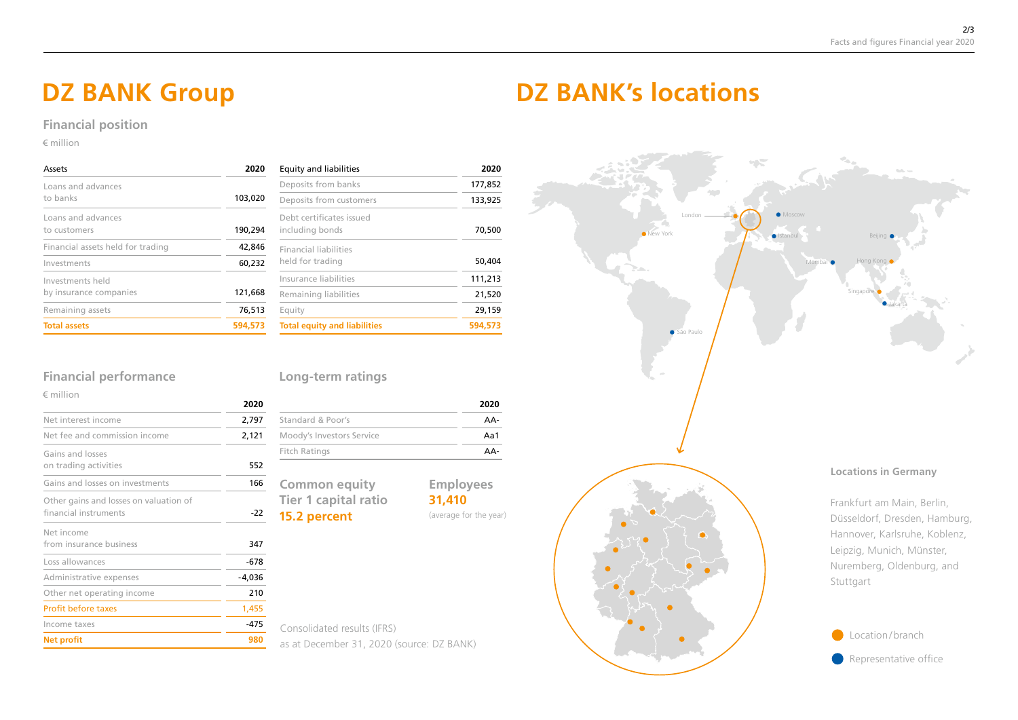### **Financial position**

€ million

| Assets                             | 2020<br><b>Equity and liabilities</b> |                                             | 2020    |
|------------------------------------|---------------------------------------|---------------------------------------------|---------|
| Loans and advances                 |                                       | Deposits from banks                         | 177,852 |
| to banks                           | 103,020                               | Deposits from customers                     | 133,925 |
| Loans and advances<br>to customers | 190,294                               | Debt certificates issued<br>including bonds | 70,500  |
| Financial assets held for trading  | 42,846                                | <b>Financial liabilities</b>                |         |
| Investments                        | 60,232                                | held for trading                            | 50,404  |
| Investments held                   |                                       | Insurance liabilities                       | 111,213 |
| by insurance companies             | 121,668                               | Remaining liabilities                       | 21,520  |
| Remaining assets                   | 76,513                                | Equity                                      | 29,159  |
| <b>Total assets</b>                | 594,573                               | <b>Total equity and liabilities</b>         | 594,573 |

### **Financial performance**

| $\epsilon$ million                                              |          |
|-----------------------------------------------------------------|----------|
|                                                                 | 2020     |
| Net interest income                                             | 2,797    |
| Net fee and commission income                                   | 2,121    |
| Gains and losses<br>on trading activities                       | 552      |
| Gains and losses on investments                                 | 166      |
| Other gains and losses on valuation of<br>financial instruments | $-22$    |
| Net income<br>from insurance business                           | 347      |
| Loss allowances                                                 | $-678$   |
| Administrative expenses                                         | $-4,036$ |
| Other net operating income                                      | 210      |
| <b>Profit before taxes</b>                                      | 1,455    |
| Income taxes                                                    | $-475$   |
| <b>Net profit</b>                                               | 980      |

#### **Long-term ratings**

|                                                                     | 2020                                                 |
|---------------------------------------------------------------------|------------------------------------------------------|
| Standard & Poor's                                                   | AA-                                                  |
| Moody's Investors Service                                           | Aa1                                                  |
| <b>Fitch Ratings</b>                                                | AA-                                                  |
| <b>Common equity</b><br><b>Tier 1 capital ratio</b><br>15.2 percent | <b>Employees</b><br>31,410<br>(average for the year) |
|                                                                     |                                                      |

Consolidated results (IFRS) as at December 31, 2020 (source: DZ BANK)